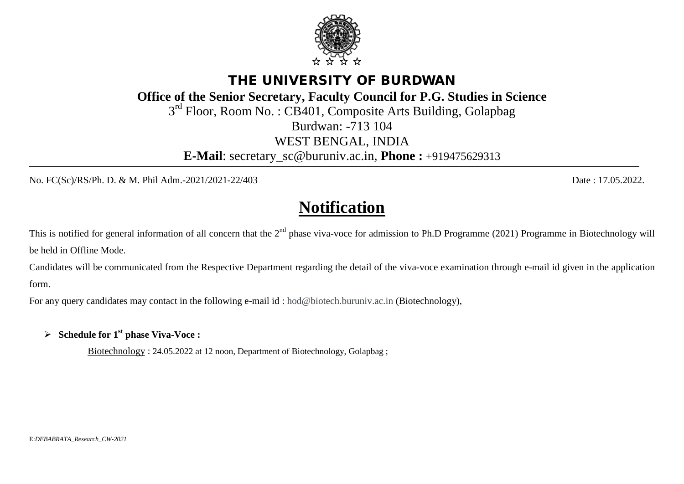## THE UNIVERSITY OF BURDWAN

**Office of the Senior Secretary, Faculty Council for P.G. Studies in Science**

3<sup>rd</sup> Floor, Room No.: CB401, Composite Arts Building, Golapbag

Burdwan: -713 104

WEST BENGAL, INDIA

**E-Mail**: [secretary\\_sc@buruniv.ac.in,](mailto:secretary_sc@buruniv.ac.in) **Phone :** +919475629313

Ξ

No. FC(Sc)/RS/Ph. D. & M. Phil Adm.-2021/2021-22/403 Date : 17.05.2022.

## **Notification**

This is notified for general information of all concern that the  $2<sup>nd</sup>$  phase viva-voce for admission to Ph.D Programme (2021) Programme in Biotechnology will be held in Offline Mode.

Candidates will be communicated from the Respective Department regarding the detail of the viva-voce examination through e-mail id given in the application form.

For any query candidates may contact in the following e-mail id : [hod@biotech.buruniv.ac.in](mailto:hod@biotech.buruniv.ac.in) (Biotechnology),

**Schedule for 1st phase Viva-Voce :**

Biotechnology : 24.05.2022 at 12 noon, Department of Biotechnology, Golapbag ;